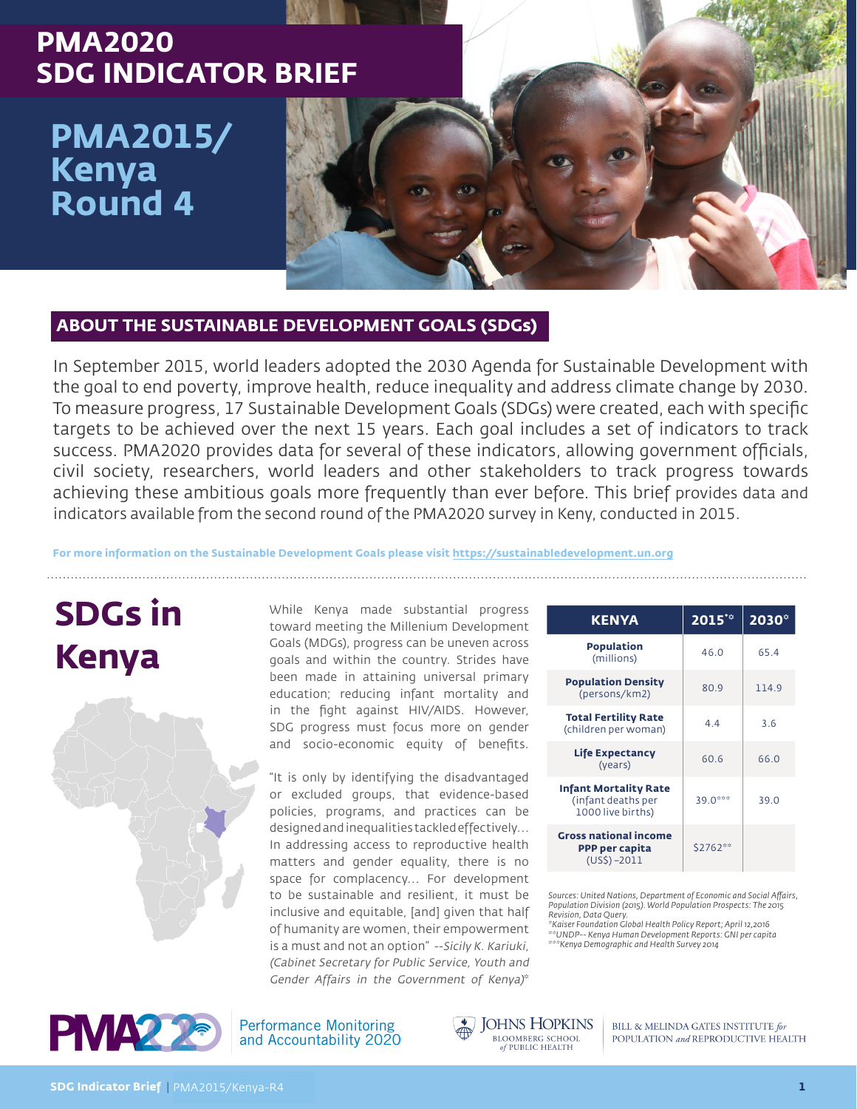## **PMA2020 SDG INDICATOR BRIEF**

# **PMA2015/ Kenya Round 4**

### **ABOUT THE SUSTAINABLE DEVELOPMENT GOALS (SDGs)**

In September 2015, world leaders adopted the 2030 Agenda for Sustainable Development with the goal to end poverty, improve health, reduce inequality and address climate change by 2030. To measure progress, 17 Sustainable Development Goals (SDGs) were created, each with specific targets to be achieved over the next 15 years. Each goal includes a set of indicators to track success. PMA2020 provides data for several of these indicators, allowing government officials, civil society, researchers, world leaders and other stakeholders to track progress towards achieving these ambitious goals more frequently than ever before. This brief provides data and indicators available from the second round of the PMA2020 survey in Keny, conducted in 2015.

#### **For more information on the Sustainable Development Goals please visit https://sustainabledevelopment.un.org**

# **SDGs in Kenya**



While Kenya made substantial progress toward meeting the Millenium Development Goals (MDGs), progress can be uneven across goals and within the country. Strides have been made in attaining universal primary education; reducing infant mortality and in the fight against HIV/AIDS. However, SDG progress must focus more on gender and socio-economic equity of benefits.

"It is only by identifying the disadvantaged or excluded groups, that evidence-based policies, programs, and practices can be designed and inequalities tackled effectively… In addressing access to reproductive health matters and gender equality, there is no space for complacency… For development to be sustainable and resilient, it must be inclusive and equitable, [and] given that half of humanity are women, their empowerment is a must and not an option" --Sicily K. Kariuki, (Cabinet Secretary for Public Service, Youth and Gender Affairs in the Government of Kenya)\*

| <b>KENYA</b>                                                            | $2015^{10}$ | $2030^\circ$ |
|-------------------------------------------------------------------------|-------------|--------------|
| Population<br>(millions)                                                | 46.0        | 65.4         |
| <b>Population Density</b><br>(persons/km2)                              | 80.9        | 114.9        |
| <b>Total Fertility Rate</b><br>(children per woman)                     | 44          | 36           |
| <b>Life Expectancy</b><br>(years)                                       | 60.6        | 66.0         |
| <b>Infant Mortality Rate</b><br>(infant deaths per<br>1000 live births) | 39.0***     | 39.0         |
| <b>Gross national income</b><br>PPP per capita<br>$(US\$) - 2011$       | \$2762**    |              |

*Sources: United Nations, Department of Economic and Social Affairs, Population Division (2015). World Population Prospects: The 2015 Revision, Data Query.* 

*\*Kaiser Foundation Global Health Policy Report; April 12,2016 \*\*UNDP-- Kenya Human Development Reports: GNI per capita \*\*\*Kenya Demographic and Health Survey 2014*



**Performance Monitoring** and Accountability 2020 **JOHNS HOPKINS BLOOMBERG SCHOOL**<br>of PUBLIC HEALTH

BILL & MELINDA GATES INSTITUTE for POPULATION and REPRODUCTIVE HEALTH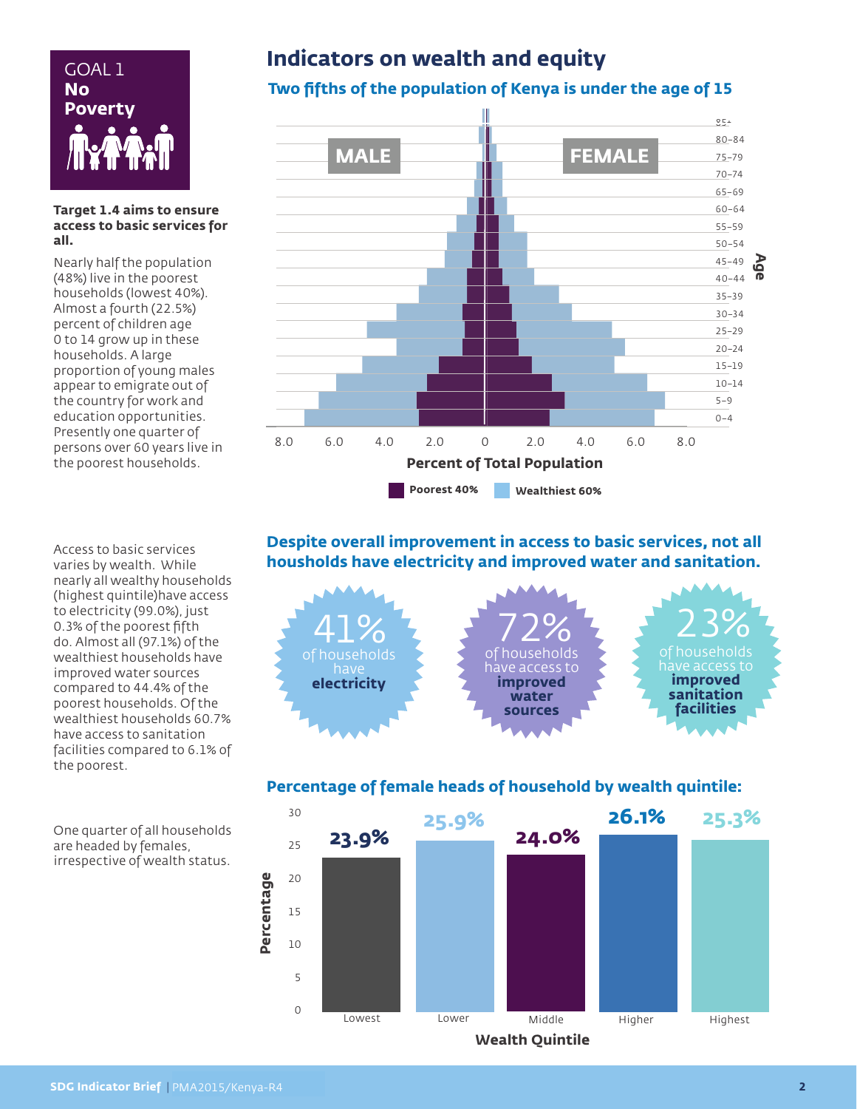

#### **Target 1.4 aims to ensure access to basic services for all.**

Nearly half the population (48%) live in the poorest households (lowest 40%). Almost a fourth (22.5%) percent of children age 0 to 14 grow up in these households. A large proportion of young males appear to emigrate out of the country for work and education opportunities. Presently one quarter of persons over 60 years live in the poorest households.

Access to basic services varies by wealth. While nearly all wealthy households (highest quintile)have access to electricity (99.0%), just 0.3% of the poorest fifth do. Almost all (97.1%) of the wealthiest households have improved water sources compared to 44.4% of the poorest households. Of the wealthiest households 60.7% have access to sanitation facilities compared to 6.1% of the poorest.

# **Indicators on wealth and equity** GOAL 1

## **Two fifths of the population of Kenya is under the age of 15**



#### **Despite overall improvement in access to basic services, not all housholds have electricity and improved water and sanitation.**



#### **Percentage of female heads of household by wealth quintile:**



One quarter of all households are headed by females, irrespective of wealth status.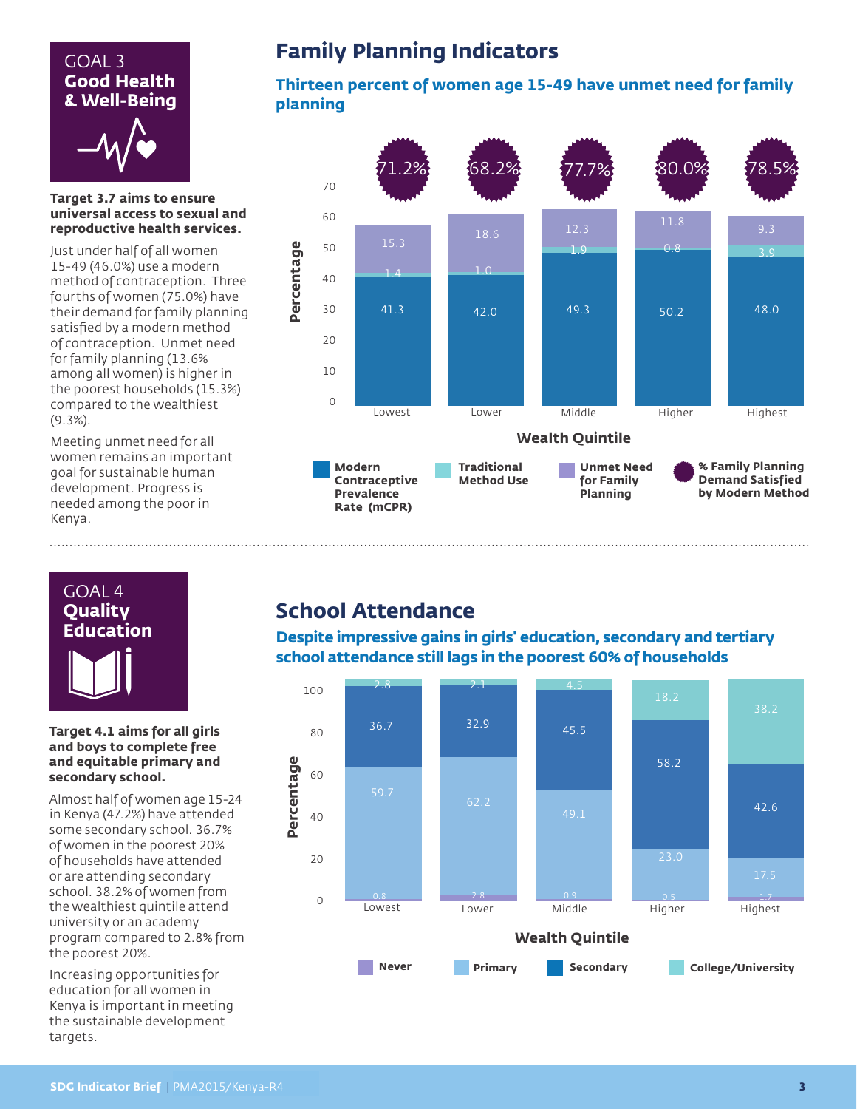# GOAL 3 **Good Health & Well-Being**

#### **Target 3.7 aims to ensure universal access to sexual and reproductive health services.**

Just under half of all women 15-49 (46.0%) use a modern method of contraception. Three fourths of women (75.0%) have their demand for family planning satisfied by a modern method of contraception. Unmet need for family planning (13.6% among all women) is higher in the poorest households (15.3%) compared to the wealthiest (9.3%).

Meeting unmet need for all women remains an important goal for sustainable human development. Progress is needed among the poor in Kenya.

## **Family Planning Indicators**

#### **Thirteen percent of women age 15-49 have unmet need for family planning**





#### **Target 4.1 aims for all girls and boys to complete free and equitable primary and secondary school.**

Almost half of women age 15-24 in Kenya (47.2%) have attended some secondary school. 36.7% of women in the poorest 20% of households have attended or are attending secondary school. 38.2% of women from the wealthiest quintile attend university or an academy program compared to 2.8% from the poorest 20%.

Increasing opportunities for education for all women in Kenya is important in meeting the sustainable development targets.

## **School Attendance**

**Despite impressive gains in girls' education, secondary and tertiary school attendance still lags in the poorest 60% of households**